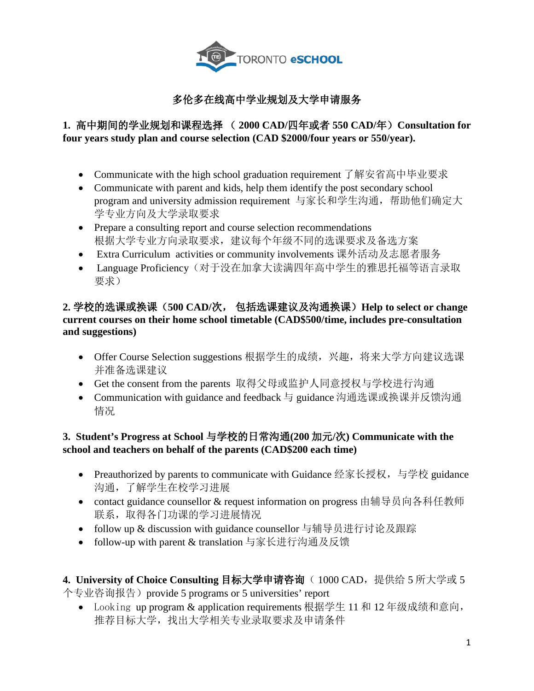

## 多伦多在线高中学业规划及大学申请服务

## **1.** 高中期间的学业规划和课程选择 ( **2000 CAD/**四年或者 **550 CAD/**年)**Consultation for four years study plan and course selection (CAD \$2000/four years or 550/year).**

- Communicate with the high school graduation requirement 了解安省高中毕业要求
- Communicate with parent and kids, help them identify the post secondary school program and university admission requirement 与家长和学生沟通,帮助他们确定大 学专业方向及大学录取要求
- Prepare a consulting report and course selection recommendations 根据大学专业方向录取要求,建议每个年级不同的选课要求及备选方案
- Extra Curriculum activities or community involvements 课外活动及志愿者服务
- Language Proficiency(对于没在加拿大读满四年高中学生的雅思托福等语言录取 要求)

## **2.** 学校的选课或换课(**500 CAD/**次, 包括选课建议及沟通换课)**Help to select or change current courses on their home school timetable (CAD\$500/time, includes pre-consultation and suggestions)**

- Offer Course Selection suggestions 根据学生的成绩,兴趣,将来大学方向建议选课 并准备选课建议
- Get the consent from the parents 取得父母或监护人同意授权与学校进行沟通
- Communication with guidance and feedback 与 guidance 沟通选课或换课并反馈沟通 情况

## **3. Student's Progress at School** 与学校的日常沟通**(200** 加元**/**次**) Communicate with the school and teachers on behalf of the parents (CAD\$200 each time)**

- Preauthorized by parents to communicate with Guidance 经家长授权, 与学校 guidance 沟通,了解学生在校学习进展
- contact guidance counsellor & request information on progress 由辅导员向各科任教师 联系,取得各门功课的学习讲展情况
- follow up & discussion with guidance counsellor 与辅导员进行讨论及跟踪
- follow-up with parent & translation 与家长进行沟通及反馈

4. University of Choice Consulting 目标大学申请咨询( 1000 CAD, 提供给 5 所大学或 5 个专业咨询报告) provide 5 programs or 5 universities' report

• Looking up program & application requirements 根据学生 11 和 12 年级成绩和意向, 推荐目标大学,找出大学相关专业录取要求及申请条件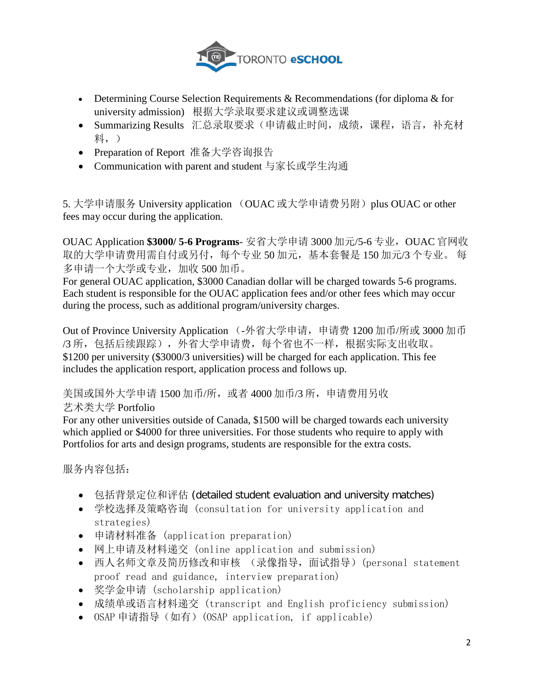

- Determining Course Selection Requirements & Recommendations (for diploma & for university admission) 根据大学录取要求建议或调整选课
- Summarizing Results 汇总录取要求(申请截止时间,成绩,课程,语言,补充材 料,)
- Preparation of Report 准备大学咨询报告
- Communication with parent and student 与家长或学生沟通

5. 大学申请服务 University application (OUAC 或大学申请费另附) plus OUAC or other fees may occur during the application.

OUAC Application \$3000/ 5-6 Programs- 安省大学申请 3000 加元/5-6 专业, OUAC 官网收 取的大学申请费用需自付或另付,每个专业 50 加元,基本套餐是 150 加元/3 个专业。 每 多申请一个大学或专业,加收 500 加币。

For general OUAC application, \$3000 Canadian dollar will be charged towards 5-6 programs. Each student is responsible for the OUAC application fees and/or other fees which may occur during the process, such as additional program/university charges.

Out of Province University Application (-外省大学申请,申请费 1200 加币/所或 3000 加币 /3 所,包括后续跟踪),外省大学申请费,每个省也不一样,根据实际支出收取。 \$1200 per university (\$3000/3 universities) will be charged for each application. This fee includes the application resport, application process and follows up.

美国或国外大学申请 1500 加币/所, 或者 4000 加币/3 所, 申请费用另收

艺术类大学 Portfolio

For any other universities outside of Canada, \$1500 will be charged towards each university which applied or \$4000 for three universities. For those students who require to apply with Portfolios for arts and design programs, students are responsible for the extra costs.

服务内容包括:

- 包括背景定位和评估 (detailed student evaluation and university matches)
- 学校选择及策略咨询 (consultation for university application and strategies)
- 申请材料准备 (application preparation)
- 网上申请及材料递交 (online application and submission)
- 西人名师文章及简历修改和审核 (录像指导,面试指导)(personal statement proof read and guidance, interview preparation)
- 奖学金申请 (scholarship application)
- 成绩单或语言材料递交 (transcript and English proficiency submission)
- OSAP 申请指导(如有)(OSAP application, if applicable)